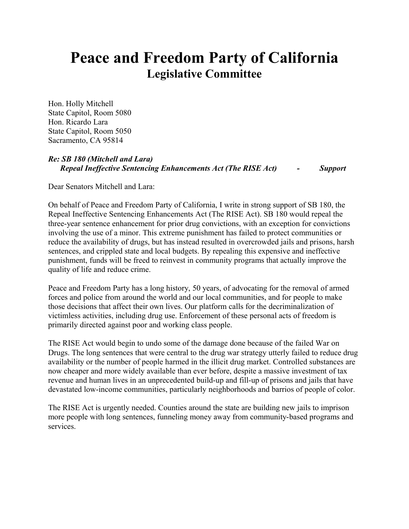## **Peace and Freedom Party of California Legislative Committee**

Hon. Holly Mitchell State Capitol, Room 5080 Hon. Ricardo Lara State Capitol, Room 5050 Sacramento, CA 95814

## *Re: SB 180 (Mitchell and Lara) Repeal Ineffective Sentencing Enhancements Act (The RISE Act) - Support*

Dear Senators Mitchell and Lara:

On behalf of Peace and Freedom Party of California, I write in strong support of SB 180, the Repeal Ineffective Sentencing Enhancements Act (The RISE Act). SB 180 would repeal the three-year sentence enhancement for prior drug convictions, with an exception for convictions involving the use of a minor. This extreme punishment has failed to protect communities or reduce the availability of drugs, but has instead resulted in overcrowded jails and prisons, harsh sentences, and crippled state and local budgets. By repealing this expensive and ineffective punishment, funds will be freed to reinvest in community programs that actually improve the quality of life and reduce crime.

Peace and Freedom Party has a long history, 50 years, of advocating for the removal of armed forces and police from around the world and our local communities, and for people to make those decisions that affect their own lives. Our platform calls for the decriminalization of victimless activities, including drug use. Enforcement of these personal acts of freedom is primarily directed against poor and working class people.

The RISE Act would begin to undo some of the damage done because of the failed War on Drugs. The long sentences that were central to the drug war strategy utterly failed to reduce drug availability or the number of people harmed in the illicit drug market. Controlled substances are now cheaper and more widely available than ever before, despite a massive investment of tax revenue and human lives in an unprecedented build-up and fill-up of prisons and jails that have devastated low-income communities, particularly neighborhoods and barrios of people of color.

The RISE Act is urgently needed. Counties around the state are building new jails to imprison more people with long sentences, funneling money away from community-based programs and services.